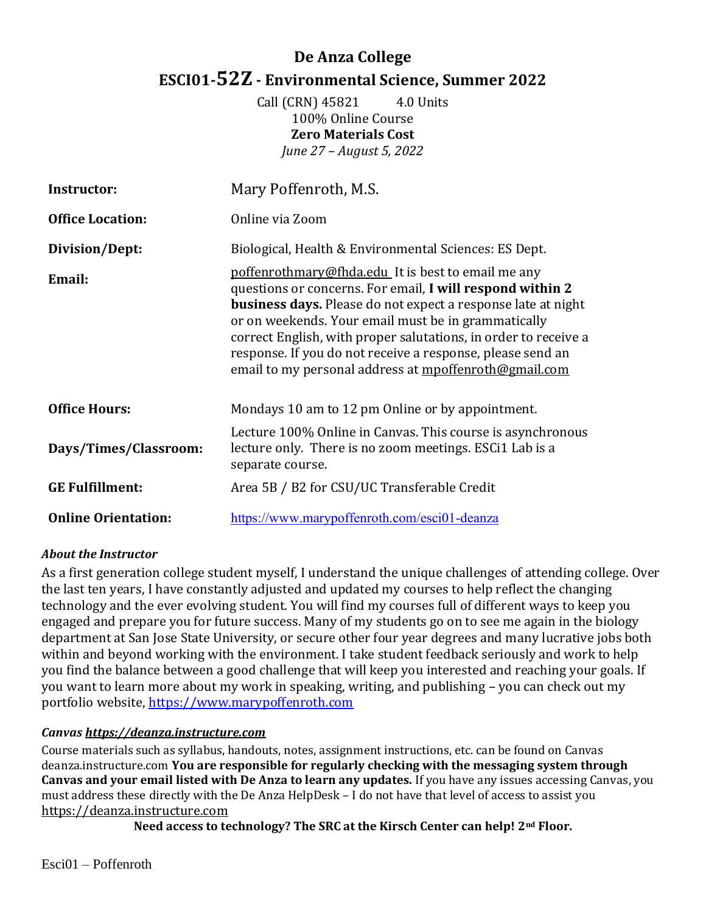# **De Anza College ESCI01-52Z - Environmental Science, Summer 2022**

Call (CRN) 45821 4.0 Units 100% Online Course **Zero Materials Cost**  *June 27 – August 5, 2022*

| <b>Instructor:</b>         | Mary Poffenroth, M.S.                                                                                                                                                                                                                                                                                                                                                                                                                   |  |
|----------------------------|-----------------------------------------------------------------------------------------------------------------------------------------------------------------------------------------------------------------------------------------------------------------------------------------------------------------------------------------------------------------------------------------------------------------------------------------|--|
| <b>Office Location:</b>    | Online via Zoom                                                                                                                                                                                                                                                                                                                                                                                                                         |  |
| Division/Dept:             | Biological, Health & Environmental Sciences: ES Dept.                                                                                                                                                                                                                                                                                                                                                                                   |  |
| Email:                     | poffenrothmary@fhda.edu It is best to email me any<br>questions or concerns. For email, I will respond within 2<br><b>business days.</b> Please do not expect a response late at night<br>or on weekends. Your email must be in grammatically<br>correct English, with proper salutations, in order to receive a<br>response. If you do not receive a response, please send an<br>email to my personal address at mpoffenroth@gmail.com |  |
| <b>Office Hours:</b>       | Mondays 10 am to 12 pm Online or by appointment.                                                                                                                                                                                                                                                                                                                                                                                        |  |
| Days/Times/Classroom:      | Lecture 100% Online in Canvas. This course is asynchronous<br>lecture only. There is no zoom meetings. ESCi1 Lab is a<br>separate course.                                                                                                                                                                                                                                                                                               |  |
| <b>GE Fulfillment:</b>     | Area 5B / B2 for CSU/UC Transferable Credit                                                                                                                                                                                                                                                                                                                                                                                             |  |
| <b>Online Orientation:</b> | https://www.marypoffenroth.com/esci01-deanza                                                                                                                                                                                                                                                                                                                                                                                            |  |

# *About the Instructor*

As a first generation college student myself, I understand the unique challenges of attending college. Over the last ten years, I have constantly adjusted and updated my courses to help reflect the changing technology and the ever evolving student. You will find my courses full of different ways to keep you engaged and prepare you for future success. Many of my students go on to see me again in the biology department at San Jose State University, or secure other four year degrees and many lucrative jobs both within and beyond working with the environment. I take student feedback seriously and work to help you find the balance between a good challenge that will keep you interested and reaching your goals. If you want to learn more about my work in speaking, writing, and publishing – you can check out my portfolio website, [https://www.marypoffenroth.com](https://www.marypoffenroth.com/)

# *Canvas [https://deanza.instructure.com](https://deanza.instructure.com/)*

Course materials such as syllabus, handouts, notes, assignment instructions, etc. can be found on Canvas deanza.instructure.com **You are responsible for regularly checking with the messaging system through Canvas and your email listed with De Anza to learn any updates.** If you have any issues accessing Canvas, you must address these directly with the De Anza HelpDesk – I do not have that level of access to assist you [https://deanza.instructure.com](https://deanza.instructure.com/)

**Need access to technology? The SRC at the Kirsch Center can help! 2nd Floor.**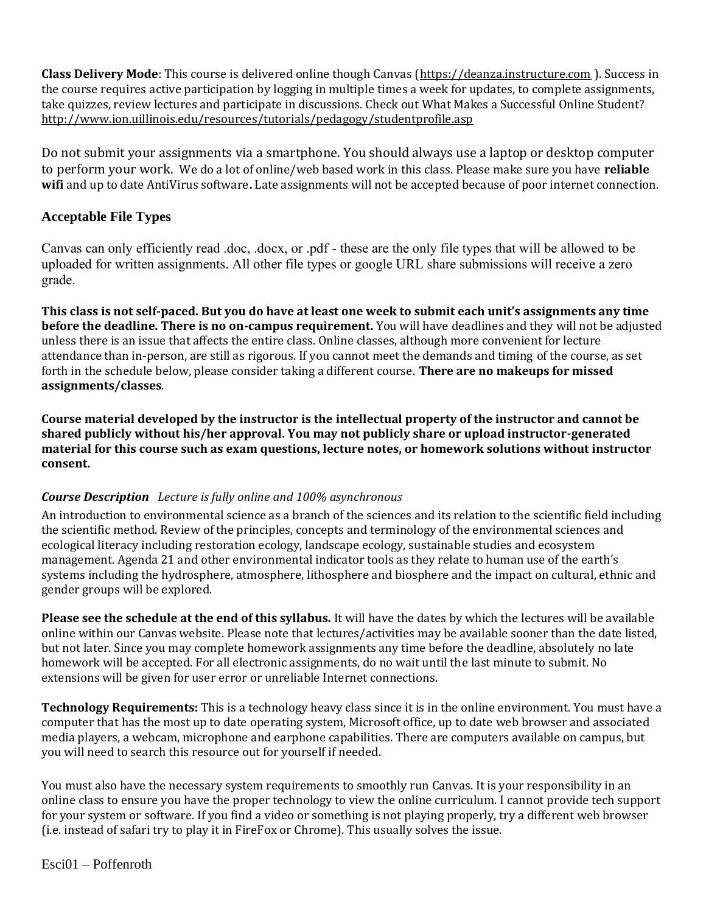**Class Delivery Mode**: This course is delivered online though Canvas [\(https://deanza.instructure.com](https://deanza.instructure.com/) ). Success in the course requires active participation by logging in multiple times a week for updates, to complete assignments, take quizzes, review lectures and participate in discussions. Check out What Makes a Successful Online Student? <http://www.ion.uillinois.edu/resources/tutorials/pedagogy/studentprofile.asp>

Do not submit your assignments via a smartphone. You should always use a laptop or desktop computer to perform your work. We do a lot of online/web based work in this class. Please make sure you have **reliable wifi** and up to date AntiVirus software**.** Late assignments will not be accepted because of poor internet connection.

# **Acceptable File Types**

Canvas can only efficiently read .doc, .docx, or .pdf - these are the only file types that will be allowed to be uploaded for written assignments. All other file types or google URL share submissions will receive a zero grade.

**This class is not self-paced. But you do have at least one week to submit each unit's assignments any time before the deadline. There is no on-campus requirement.** You will have deadlines and they will not be adjusted unless there is an issue that affects the entire class. Online classes, although more convenient for lecture attendance than in-person, are still as rigorous. If you cannot meet the demands and timing of the course, as set forth in the schedule below, please consider taking a different course. **There are no makeups for missed assignments/classes**.

**Course material developed by the instructor is the intellectual property of the instructor and cannot be shared publicly without his/her approval. You may not publicly share or upload instructor-generated material for this course such as exam questions, lecture notes, or homework solutions without instructor consent.**

# *Course Description Lecture is fully online and 100% asynchronous*

An introduction to environmental science as a branch of the sciences and its relation to the scientific field including the scientific method. Review of the principles, concepts and terminology of the environmental sciences and ecological literacy including restoration ecology, landscape ecology, sustainable studies and ecosystem management. Agenda 21 and other environmental indicator tools as they relate to human use of the earth's systems including the hydrosphere, atmosphere, lithosphere and biosphere and the impact on cultural, ethnic and gender groups will be explored.

**Please see the schedule at the end of this syllabus.** It will have the dates by which the lectures will be available online within our Canvas website. Please note that lectures/activities may be available sooner than the date listed, but not later. Since you may complete homework assignments any time before the deadline, absolutely no late homework will be accepted. For all electronic assignments, do no wait until the last minute to submit. No extensions will be given for user error or unreliable Internet connections.

**Technology Requirements:** This is a technology heavy class since it is in the online environment. You must have a computer that has the most up to date operating system, Microsoft office, up to date web browser and associated media players, a webcam, microphone and earphone capabilities. There are computers available on campus, but you will need to search this resource out for yourself if needed.

You must also have the necessary system requirements to smoothly run Canvas. It is your responsibility in an online class to ensure you have the proper technology to view the online curriculum. I cannot provide tech support for your system or software. If you find a video or something is not playing properly, try a different web browser (i.e. instead of safari try to play it in FireFox or Chrome). This usually solves the issue.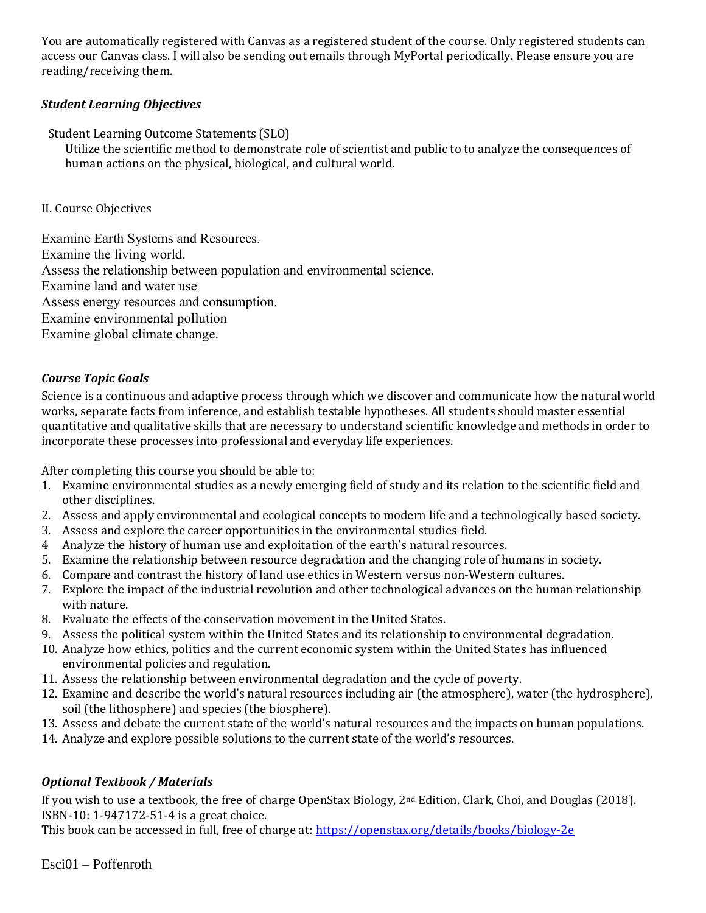You are automatically registered with Canvas as a registered student of the course. Only registered students can access our Canvas class. I will also be sending out emails through MyPortal periodically. Please ensure you are reading/receiving them.

#### *Student Learning Objectives*

Student Learning Outcome Statements (SLO)

Utilize the scientific method to demonstrate role of scientist and public to to analyze the consequences of human actions on the physical, biological, and cultural world.

#### II. Course Objectives

Examine Earth Systems and Resources. Examine the living world. Assess the relationship between population and environmental science. Examine land and water use Assess energy resources and consumption. Examine environmental pollution Examine global climate change.

# *Course Topic Goals*

Science is a continuous and adaptive process through which we discover and communicate how the natural world works, separate facts from inference, and establish testable hypotheses. All students should master essential quantitative and qualitative skills that are necessary to understand scientific knowledge and methods in order to incorporate these processes into professional and everyday life experiences.

After completing this course you should be able to:

- 1. Examine environmental studies as a newly emerging field of study and its relation to the scientific field and other disciplines.
- 2. Assess and apply environmental and ecological concepts to modern life and a technologically based society.
- 3. Assess and explore the career opportunities in the environmental studies field.
- 4 Analyze the history of human use and exploitation of the earth's natural resources.
- 5. Examine the relationship between resource degradation and the changing role of humans in society.
- 6. Compare and contrast the history of land use ethics in Western versus non-Western cultures.
- 7. Explore the impact of the industrial revolution and other technological advances on the human relationship with nature.
- 8. Evaluate the effects of the conservation movement in the United States.
- 9. Assess the political system within the United States and its relationship to environmental degradation.
- 10. Analyze how ethics, politics and the current economic system within the United States has influenced environmental policies and regulation.
- 11. Assess the relationship between environmental degradation and the cycle of poverty.
- 12. Examine and describe the world's natural resources including air (the atmosphere), water (the hydrosphere), soil (the lithosphere) and species (the biosphere).
- 13. Assess and debate the current state of the world's natural resources and the impacts on human populations.
- 14. Analyze and explore possible solutions to the current state of the world's resources.

#### *Optional Textbook / Materials*

If you wish to use a textbook, the free of charge OpenStax Biology, 2nd Edition. Clark, Choi, and Douglas (2018). ISBN-10: 1-947172-51-4 is a great choice.

This book can be accessed in full, free of charge at:<https://openstax.org/details/books/biology-2e>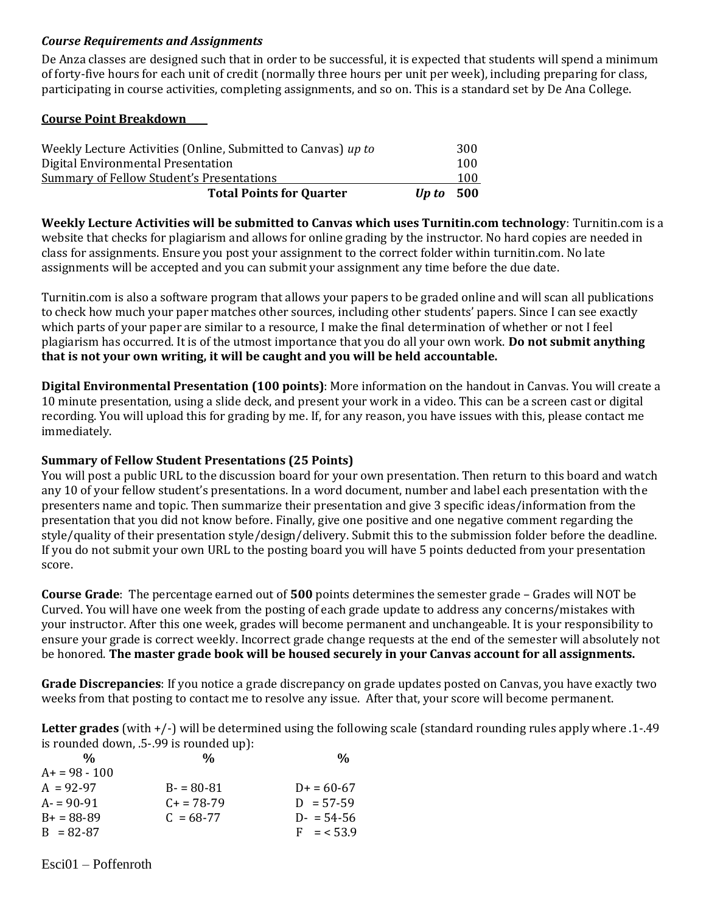#### *Course Requirements and Assignments*

De Anza classes are designed such that in order to be successful, it is expected that students will spend a minimum of forty-five hours for each unit of credit (normally three hours per unit per week), including preparing for class, participating in course activities, completing assignments, and so on. This is a standard set by De Ana College.

#### **Course Point Breakdown**

| Weekly Lecture Activities (Online, Submitted to Canvas) up to |       | 300 |
|---------------------------------------------------------------|-------|-----|
| Digital Environmental Presentation                            |       | 100 |
| Summary of Fellow Student's Presentations                     |       | 100 |
| <b>Total Points for Quarter</b>                               | Un to | 500 |

**Weekly Lecture Activities will be submitted to Canvas which uses Turnitin.com technology**: Turnitin.com is a website that checks for plagiarism and allows for online grading by the instructor. No hard copies are needed in class for assignments. Ensure you post your assignment to the correct folder within turnitin.com. No late assignments will be accepted and you can submit your assignment any time before the due date.

Turnitin.com is also a software program that allows your papers to be graded online and will scan all publications to check how much your paper matches other sources, including other students' papers. Since I can see exactly which parts of your paper are similar to a resource, I make the final determination of whether or not I feel plagiarism has occurred. It is of the utmost importance that you do all your own work. **Do not submit anything that is not your own writing, it will be caught and you will be held accountable.**

**Digital Environmental Presentation (100 points)**: More information on the handout in Canvas. You will create a 10 minute presentation, using a slide deck, and present your work in a video. This can be a screen cast or digital recording. You will upload this for grading by me. If, for any reason, you have issues with this, please contact me immediately.

#### **Summary of Fellow Student Presentations (25 Points)**

You will post a public URL to the discussion board for your own presentation. Then return to this board and watch any 10 of your fellow student's presentations. In a word document, number and label each presentation with the presenters name and topic. Then summarize their presentation and give 3 specific ideas/information from the presentation that you did not know before. Finally, give one positive and one negative comment regarding the style/quality of their presentation style/design/delivery. Submit this to the submission folder before the deadline. If you do not submit your own URL to the posting board you will have 5 points deducted from your presentation score.

**Course Grade**: The percentage earned out of **500** points determines the semester grade – Grades will NOT be Curved. You will have one week from the posting of each grade update to address any concerns/mistakes with your instructor. After this one week, grades will become permanent and unchangeable. It is your responsibility to ensure your grade is correct weekly. Incorrect grade change requests at the end of the semester will absolutely not be honored. **The master grade book will be housed securely in your Canvas account for all assignments.** 

**Grade Discrepancies**: If you notice a grade discrepancy on grade updates posted on Canvas, you have exactly two weeks from that posting to contact me to resolve any issue. After that, your score will become permanent.

**Letter grades** (with +/-) will be determined using the following scale (standard rounding rules apply where .1-.49 is rounded down, .5-.99 is rounded up):

| %             | %                    | $\frac{0}{0}$ |
|---------------|----------------------|---------------|
| $A+=98-100$   |                      |               |
| $A = 92-97$   | $B - 80 - 81$        | $D+ = 60-67$  |
| $A = 90-91$   | $C_{\rm{+}}$ = 78-79 | $D = 57-59$   |
| $B+ = 88-89$  | $C = 68-77$          | $D - 54 - 56$ |
| $B = 82 - 87$ |                      | $F = 53.9$    |

Esci01 – Poffenroth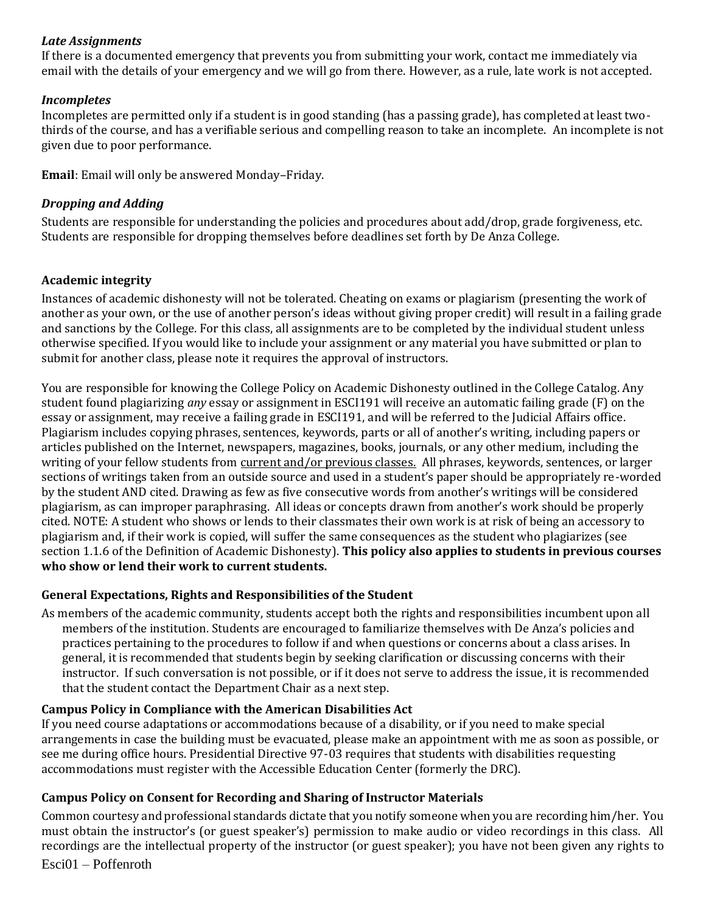#### *Late Assignments*

If there is a documented emergency that prevents you from submitting your work, contact me immediately via email with the details of your emergency and we will go from there. However, as a rule, late work is not accepted.

#### *Incompletes*

Incompletes are permitted only if a student is in good standing (has a passing grade), has completed at least twothirds of the course, and has a verifiable serious and compelling reason to take an incomplete. An incomplete is not given due to poor performance.

**Email**: Email will only be answered Monday–Friday.

#### *Dropping and Adding*

Students are responsible for understanding the policies and procedures about add/drop, grade forgiveness, etc. Students are responsible for dropping themselves before deadlines set forth by De Anza College.

#### **Academic integrity**

Instances of academic dishonesty will not be tolerated. Cheating on exams or plagiarism (presenting the work of another as your own, or the use of another person's ideas without giving proper credit) will result in a failing grade and sanctions by the College. For this class, all assignments are to be completed by the individual student unless otherwise specified. If you would like to include your assignment or any material you have submitted or plan to submit for another class, please note it requires the approval of instructors.

You are responsible for knowing the College Policy on Academic Dishonesty outlined in the College Catalog. Any student found plagiarizing *any* essay or assignment in ESCI191 will receive an automatic failing grade (F) on the essay or assignment, may receive a failing grade in ESCI191, and will be referred to the Judicial Affairs office. Plagiarism includes copying phrases, sentences, keywords, parts or all of another's writing, including papers or articles published on the Internet, newspapers, magazines, books, journals, or any other medium, including the writing of your fellow students from current and/or previous classes. All phrases, keywords, sentences, or larger sections of writings taken from an outside source and used in a student's paper should be appropriately re-worded by the student AND cited. Drawing as few as five consecutive words from another's writings will be considered plagiarism, as can improper paraphrasing. All ideas or concepts drawn from another's work should be properly cited. NOTE: A student who shows or lends to their classmates their own work is at risk of being an accessory to plagiarism and, if their work is copied, will suffer the same consequences as the student who plagiarizes (see section 1.1.6 of the Definition of Academic Dishonesty). **This policy also applies to students in previous courses who show or lend their work to current students.** 

#### **General Expectations, Rights and Responsibilities of the Student**

As members of the academic community, students accept both the rights and responsibilities incumbent upon all members of the institution. Students are encouraged to familiarize themselves with De Anza's policies and practices pertaining to the procedures to follow if and when questions or concerns about a class arises. In general, it is recommended that students begin by seeking clarification or discussing concerns with their instructor. If such conversation is not possible, or if it does not serve to address the issue, it is recommended that the student contact the Department Chair as a next step.

# **Campus Policy in Compliance with the American Disabilities Act**

If you need course adaptations or accommodations because of a disability, or if you need to make special arrangements in case the building must be evacuated, please make an appointment with me as soon as possible, or see me during office hours. Presidential Directive 97-03 requires that students with disabilities requesting accommodations must register with the Accessible Education Center (formerly the DRC).

#### **Campus Policy on Consent for Recording and Sharing of Instructor Materials**

Common courtesy and professional standards dictate that you notify someone when you are recording him/her. You must obtain the instructor's (or guest speaker's) permission to make audio or video recordings in this class. All recordings are the intellectual property of the instructor (or guest speaker); you have not been given any rights to

Esci01 – Poffenroth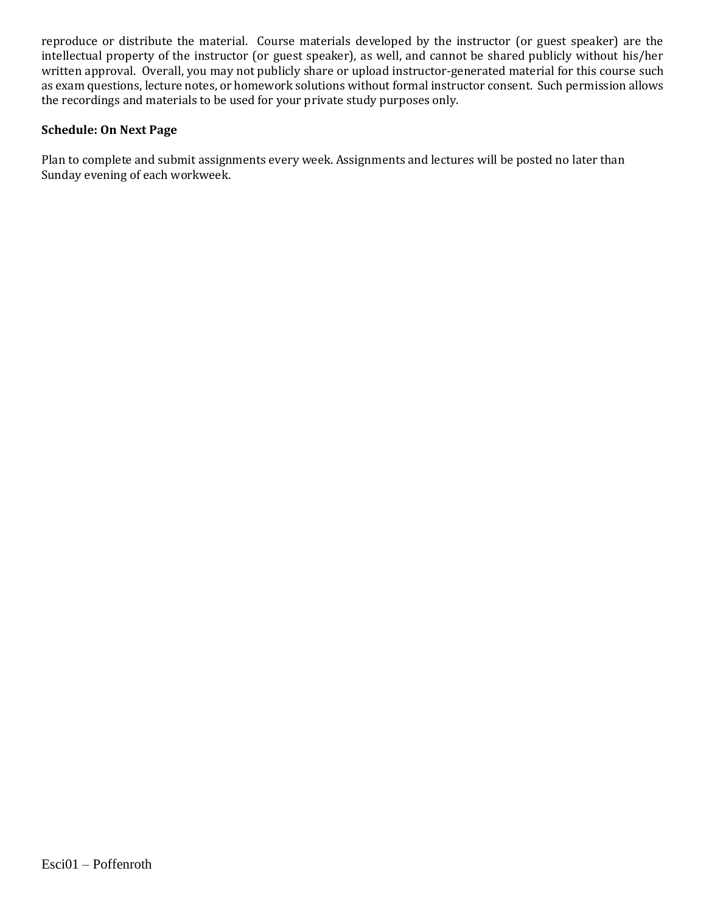reproduce or distribute the material. Course materials developed by the instructor (or guest speaker) are the intellectual property of the instructor (or guest speaker), as well, and cannot be shared publicly without his/her written approval. Overall, you may not publicly share or upload instructor-generated material for this course such as exam questions, lecture notes, or homework solutions without formal instructor consent. Such permission allows the recordings and materials to be used for your private study purposes only.

#### **Schedule: On Next Page**

Plan to complete and submit assignments every week. Assignments and lectures will be posted no later than Sunday evening of each workweek.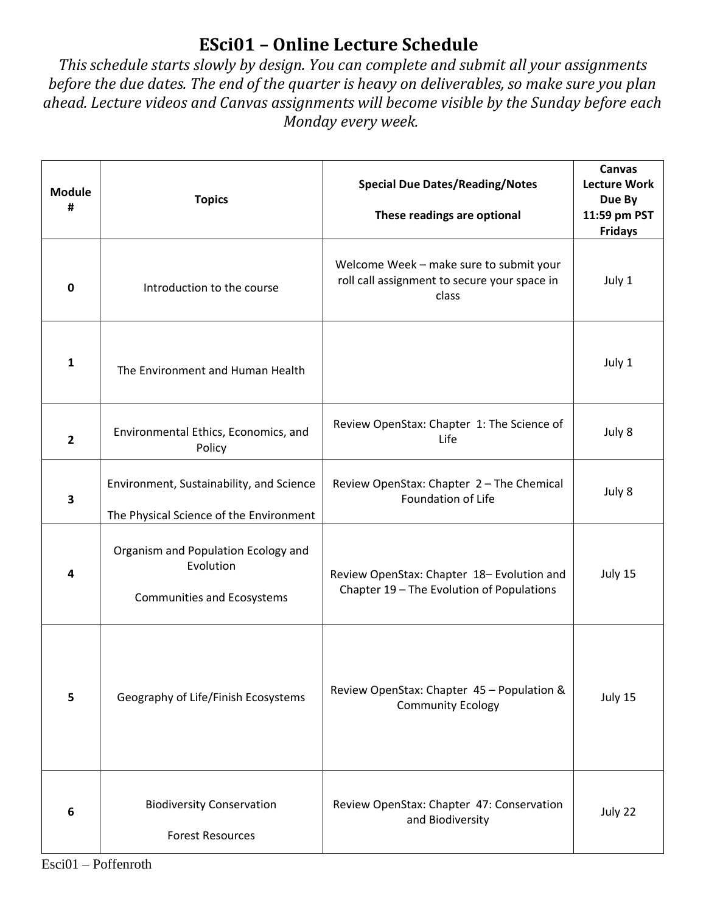# **ESci01 – Online Lecture Schedule**

*This schedule starts slowly by design. You can complete and submit all your assignments before the due dates. The end of the quarter is heavy on deliverables, so make sure you plan ahead. Lecture videos and Canvas assignments will become visible by the Sunday before each Monday every week.*

| <b>Module</b><br># | <b>Topics</b>                                                                         | <b>Special Due Dates/Reading/Notes</b><br>These readings are optional                            | Canvas<br><b>Lecture Work</b><br>Due By<br>11:59 pm PST<br><b>Fridays</b> |
|--------------------|---------------------------------------------------------------------------------------|--------------------------------------------------------------------------------------------------|---------------------------------------------------------------------------|
| 0                  | Introduction to the course                                                            | Welcome Week - make sure to submit your<br>roll call assignment to secure your space in<br>class | July 1                                                                    |
| $\mathbf{1}$       | The Environment and Human Health                                                      |                                                                                                  | July 1                                                                    |
| $\overline{2}$     | Environmental Ethics, Economics, and<br>Policy                                        | Review OpenStax: Chapter 1: The Science of<br>Life                                               | July 8                                                                    |
| 3                  | Environment, Sustainability, and Science<br>The Physical Science of the Environment   | Review OpenStax: Chapter 2 - The Chemical<br>Foundation of Life                                  | July 8                                                                    |
| 4                  | Organism and Population Ecology and<br>Evolution<br><b>Communities and Ecosystems</b> | Review OpenStax: Chapter 18- Evolution and<br>Chapter 19 - The Evolution of Populations          | July 15                                                                   |
| 5                  | Geography of Life/Finish Ecosystems                                                   | Review OpenStax: Chapter 45 - Population &<br><b>Community Ecology</b>                           | July 15                                                                   |
| 6                  | <b>Biodiversity Conservation</b><br><b>Forest Resources</b>                           | Review OpenStax: Chapter 47: Conservation<br>and Biodiversity                                    | July 22                                                                   |